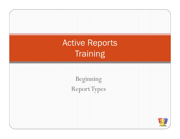Active Reports**Training** 

> BeginningReport Types

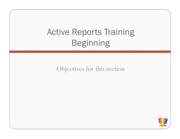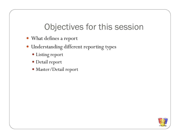#### Objectives for this session

- What defines a report
- Understanding different reporting types
	- Listing report
	- Detail report
	- Master/Detail report

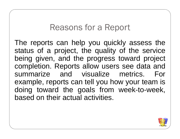#### Reasons for a Report

The reports can help you quickly assess the status of <sup>a</sup> project, the quality of the service being given, and the progress toward project completion. Reports allow users see data and<br>cummorize and vieuglize metrics. For summarize and visualize metrics. For example, reports can tell you how your team is doing toward the goals from week-to-week, based on their actual activities.

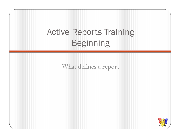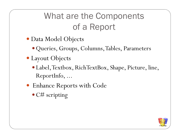## What are the Components of a Report

- Data Model Objects
	- Queries, Groups, Columns, Tables, Parameters
- Layout Objects
	- Label, Textbox, RichTextBox, Shape, Picture, line, ReportInfo, ...
- Enhance Reports with Code
	- C# scripting

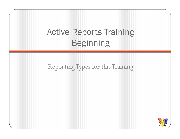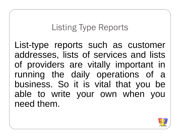#### Listing Type Reports

List-type reports such as customer addresses, lists of services and lists of providers are vitally important in running the daily operations of abusiness. So it is vital that you be able to write your own when youneed them.

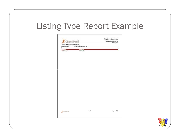#### Listing Type Report Example



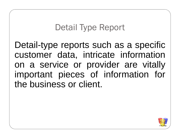#### Detail Type Report

Detail-type reports such as <sup>a</sup> specific customer data, intricate informationon a service or provider are vitally important pieces of information for the business or client.

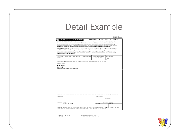#### Detail Example

| Department of Veterans                                                                                                                                                                                                                                                                                                                                                                                                                                                                                                                                                                                                                                                                                                                                                    |                      |             |                   |         | она дррества по-<br>2900-0075 Respondent |
|---------------------------------------------------------------------------------------------------------------------------------------------------------------------------------------------------------------------------------------------------------------------------------------------------------------------------------------------------------------------------------------------------------------------------------------------------------------------------------------------------------------------------------------------------------------------------------------------------------------------------------------------------------------------------------------------------------------------------------------------------------------------------|----------------------|-------------|-------------------|---------|------------------------------------------|
|                                                                                                                                                                                                                                                                                                                                                                                                                                                                                                                                                                                                                                                                                                                                                                           | STATEMENT IN SUPPORT |             |                   | ΠF.     | CLATM                                    |
| PRIVACY ACT INFORMATION: The law authorizes us to request the information we are asking you to provide on this form (38 U.S.C. 501(a) and (b)).<br>The responses you submit are considered confidential (38 U.S.C. 5701). They may be disclosed outside the Department of Votrosna Affairs (VA) only if the<br>disclosure is authorized under the Privacy Act, including the routine uses identified in the VA system of recoda, 58VA21/22, Competention, Pension,<br>Education and Rahabilitation Records - VA, published in the Federal Register. The requested information is considered relevant and necessary o determine<br>naimum benefits under the law. Information submitted is subject to verification through computer matching programs with other agencies. |                      |             |                   |         |                                          |
| RESPONDENT BURDEN: VA may not conduct or sponsor, and respondent is not required to respond to this collection of information unless it displays a<br>valid CMB Control Number. Public reporting burden for this collection of information is estimated to average 15 minutes per response, including the time<br>for reviewing instructions, searching existing data sources, gathering and maintaining the data meckel, and completing and reviewing the collection of<br>information. If you have comments regarding this burden estimate or any other aspect of this collection of information, call 1-800-827-1000 for mailing<br>information on where to send your comments.                                                                                        |                      |             |                   |         |                                          |
| FIRST NAME - MIDDLE NAME - LAST NAME OF<br>(Type or print)                                                                                                                                                                                                                                                                                                                                                                                                                                                                                                                                                                                                                                                                                                                | SOCIAL SECURITY NO.  |             | VA FILE NO.       |         |                                          |
| UPTERNE brown                                                                                                                                                                                                                                                                                                                                                                                                                                                                                                                                                                                                                                                                                                                                                             |                      | 445-65-4654 | C/CSS             |         |                                          |
| The following statement is made in connection with a claim for benefits in the case<br>di informazione di controle<br>an account of the control of the con-                                                                                                                                                                                                                                                                                                                                                                                                                                                                                                                                                                                                               |                      |             |                   |         |                                          |
| brown, charlie                                                                                                                                                                                                                                                                                                                                                                                                                                                                                                                                                                                                                                                                                                                                                            |                      |             |                   |         |                                          |
| 445-65-4654                                                                                                                                                                                                                                                                                                                                                                                                                                                                                                                                                                                                                                                                                                                                                               |                      |             |                   |         |                                          |
| 03/14/2009                                                                                                                                                                                                                                                                                                                                                                                                                                                                                                                                                                                                                                                                                                                                                                |                      |             |                   |         |                                          |
| vhyhbliblhlihnlkinkn.lhnlkhnlinlkin                                                                                                                                                                                                                                                                                                                                                                                                                                                                                                                                                                                                                                                                                                                                       |                      |             |                   |         |                                          |
|                                                                                                                                                                                                                                                                                                                                                                                                                                                                                                                                                                                                                                                                                                                                                                           |                      |             |                   |         |                                          |
|                                                                                                                                                                                                                                                                                                                                                                                                                                                                                                                                                                                                                                                                                                                                                                           |                      |             |                   |         |                                          |
|                                                                                                                                                                                                                                                                                                                                                                                                                                                                                                                                                                                                                                                                                                                                                                           |                      |             |                   |         |                                          |
|                                                                                                                                                                                                                                                                                                                                                                                                                                                                                                                                                                                                                                                                                                                                                                           |                      |             |                   |         |                                          |
|                                                                                                                                                                                                                                                                                                                                                                                                                                                                                                                                                                                                                                                                                                                                                                           |                      |             |                   |         |                                          |
|                                                                                                                                                                                                                                                                                                                                                                                                                                                                                                                                                                                                                                                                                                                                                                           |                      |             |                   |         |                                          |
|                                                                                                                                                                                                                                                                                                                                                                                                                                                                                                                                                                                                                                                                                                                                                                           |                      |             |                   |         |                                          |
|                                                                                                                                                                                                                                                                                                                                                                                                                                                                                                                                                                                                                                                                                                                                                                           |                      |             |                   |         |                                          |
|                                                                                                                                                                                                                                                                                                                                                                                                                                                                                                                                                                                                                                                                                                                                                                           |                      |             |                   |         |                                          |
|                                                                                                                                                                                                                                                                                                                                                                                                                                                                                                                                                                                                                                                                                                                                                                           |                      |             |                   |         |                                          |
|                                                                                                                                                                                                                                                                                                                                                                                                                                                                                                                                                                                                                                                                                                                                                                           |                      |             |                   |         |                                          |
|                                                                                                                                                                                                                                                                                                                                                                                                                                                                                                                                                                                                                                                                                                                                                                           |                      |             |                   |         |                                          |
|                                                                                                                                                                                                                                                                                                                                                                                                                                                                                                                                                                                                                                                                                                                                                                           |                      |             |                   |         |                                          |
|                                                                                                                                                                                                                                                                                                                                                                                                                                                                                                                                                                                                                                                                                                                                                                           |                      |             |                   |         |                                          |
|                                                                                                                                                                                                                                                                                                                                                                                                                                                                                                                                                                                                                                                                                                                                                                           |                      |             |                   |         |                                          |
|                                                                                                                                                                                                                                                                                                                                                                                                                                                                                                                                                                                                                                                                                                                                                                           |                      | DATE SIGNED |                   |         |                                          |
|                                                                                                                                                                                                                                                                                                                                                                                                                                                                                                                                                                                                                                                                                                                                                                           |                      |             |                   |         |                                          |
|                                                                                                                                                                                                                                                                                                                                                                                                                                                                                                                                                                                                                                                                                                                                                                           |                      |             | 03/14/2009        |         |                                          |
| SIGNATURE                                                                                                                                                                                                                                                                                                                                                                                                                                                                                                                                                                                                                                                                                                                                                                 |                      |             |                   |         |                                          |
| I CERTIFY THAT the statements on this form are true and correct to the best of my knowledge and belief.<br>ADDRESS<br>1 Main                                                                                                                                                                                                                                                                                                                                                                                                                                                                                                                                                                                                                                              |                      |             | TELEPHONE NUMBERS |         |                                          |
| Houston, TX 77054                                                                                                                                                                                                                                                                                                                                                                                                                                                                                                                                                                                                                                                                                                                                                         |                      | DAYTIME     |                   | EVENING |                                          |
| PENALTY: The law provides severe penalties which include fine or imprisonment, or both, for the willful                                                                                                                                                                                                                                                                                                                                                                                                                                                                                                                                                                                                                                                                   |                      |             |                   |         |                                          |

VA FORM 21-4138<br>JUN 2000

EXISTING STOCKS OF VA FORM<br>21-4138, APR 1994, WILL BE USED

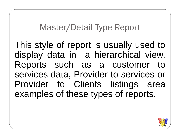#### Master/Detail Type Report

This style of report is usually used to display data in <sup>a</sup> hierarchical view. Reports such as a customer to services data, Provider to services or Provider to Clients listings areaexamples of these types of reports.

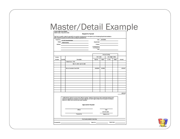# Master/Detail Example

#### Request For Payment

This Form is used for claims for payment for any goods or services that do not require by law Purchasing Department assistance.

|               |          | means secharase are betAssess suspines can sumply to mand assessments accurate                                                                                                                                                                                                                          |                                      |                  |                                                                                                                                                                                                                                |        |             |
|---------------|----------|---------------------------------------------------------------------------------------------------------------------------------------------------------------------------------------------------------------------------------------------------------------------------------------------------------|--------------------------------------|------------------|--------------------------------------------------------------------------------------------------------------------------------------------------------------------------------------------------------------------------------|--------|-------------|
| Payable to:   |          | <b>HC-CSD Social Services</b>                                                                                                                                                                                                                                                                           |                                      | Date: 04/05/2009 |                                                                                                                                                                                                                                |        |             |
|               |          | PEID# 740694415(R9)                                                                                                                                                                                                                                                                                     | Department:                          |                  |                                                                                                                                                                                                                                |        |             |
| Address:      |          |                                                                                                                                                                                                                                                                                                         | <b>Division:</b>                     |                  |                                                                                                                                                                                                                                |        |             |
|               |          |                                                                                                                                                                                                                                                                                                         | Commissioner's<br>Court Approval     |                  | Date: http://www.com/communications/communications/communications/communications/communications/communications/communications/communications/communications/communications/communications/communications/communications/commun |        |             |
|               |          |                                                                                                                                                                                                                                                                                                         |                                      |                  | Account Coding                                                                                                                                                                                                                 |        |             |
| Invoice       |          |                                                                                                                                                                                                                                                                                                         | <b>GAL Codes</b><br>Job Ledger Codes |                  |                                                                                                                                                                                                                                |        |             |
| Number        | Quantity | Description                                                                                                                                                                                                                                                                                             | <b>Org Key</b>                       | Object           | JL Key                                                                                                                                                                                                                         | Object | Amount      |
|               |          | Reliant Care - 2006                                                                                                                                                                                                                                                                                     |                                      |                  |                                                                                                                                                                                                                                |        |             |
|               |          | Mar 01, 2009 - Apr 05, 2009                                                                                                                                                                                                                                                                             |                                      |                  |                                                                                                                                                                                                                                |        |             |
|               |          |                                                                                                                                                                                                                                                                                                         |                                      |                  |                                                                                                                                                                                                                                |        |             |
|               |          | Minus Cancelled Check 5005                                                                                                                                                                                                                                                                              | 22828002                             | 691600           |                                                                                                                                                                                                                                |        | $-8300.00$  |
|               |          |                                                                                                                                                                                                                                                                                                         |                                      |                  |                                                                                                                                                                                                                                |        |             |
|               |          |                                                                                                                                                                                                                                                                                                         |                                      |                  |                                                                                                                                                                                                                                |        |             |
|               |          |                                                                                                                                                                                                                                                                                                         |                                      |                  |                                                                                                                                                                                                                                |        |             |
|               |          |                                                                                                                                                                                                                                                                                                         |                                      |                  |                                                                                                                                                                                                                                |        |             |
|               |          |                                                                                                                                                                                                                                                                                                         |                                      |                  |                                                                                                                                                                                                                                |        |             |
|               |          |                                                                                                                                                                                                                                                                                                         |                                      |                  |                                                                                                                                                                                                                                |        |             |
|               |          |                                                                                                                                                                                                                                                                                                         |                                      |                  |                                                                                                                                                                                                                                |        |             |
|               |          |                                                                                                                                                                                                                                                                                                         |                                      |                  |                                                                                                                                                                                                                                |        |             |
|               |          |                                                                                                                                                                                                                                                                                                         |                                      |                  |                                                                                                                                                                                                                                |        |             |
|               |          |                                                                                                                                                                                                                                                                                                         |                                      |                  |                                                                                                                                                                                                                                |        |             |
|               |          |                                                                                                                                                                                                                                                                                                         |                                      |                  |                                                                                                                                                                                                                                |        | $-$300.00$  |
|               |          | I certify that this claim is true and correct, that the supplies, materials, and services herein enumerated and for which<br>payment is requested are necessary to the public business, and that I approve these items for payment and that no<br>payment for these items has been previously requested |                                      |                  |                                                                                                                                                                                                                                |        |             |
|               |          | <b>Approved for Payment</b>                                                                                                                                                                                                                                                                             |                                      |                  |                                                                                                                                                                                                                                |        |             |
|               |          |                                                                                                                                                                                                                                                                                                         |                                      |                  |                                                                                                                                                                                                                                |        |             |
|               |          | Official                                                                                                                                                                                                                                                                                                |                                      |                  | Date                                                                                                                                                                                                                           |        |             |
|               |          |                                                                                                                                                                                                                                                                                                         |                                      |                  | 801-451-2885                                                                                                                                                                                                                   |        |             |
|               |          | Prepared By                                                                                                                                                                                                                                                                                             |                                      |                  | Telephane No.                                                                                                                                                                                                                  |        |             |
|               |          | For County Auditor's Use Only                                                                                                                                                                                                                                                                           |                                      |                  |                                                                                                                                                                                                                                |        |             |
| Processed By: |          |                                                                                                                                                                                                                                                                                                         | Batch No.                            |                  |                                                                                                                                                                                                                                |        | Batch Date: |
|               |          |                                                                                                                                                                                                                                                                                                         |                                      |                  |                                                                                                                                                                                                                                |        |             |

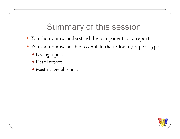### Summary of this session

- You should now understand the components of a repor t
- You should now be able to explain the following report types
	- Listing report
	- Detail report
	- Master/Detail report